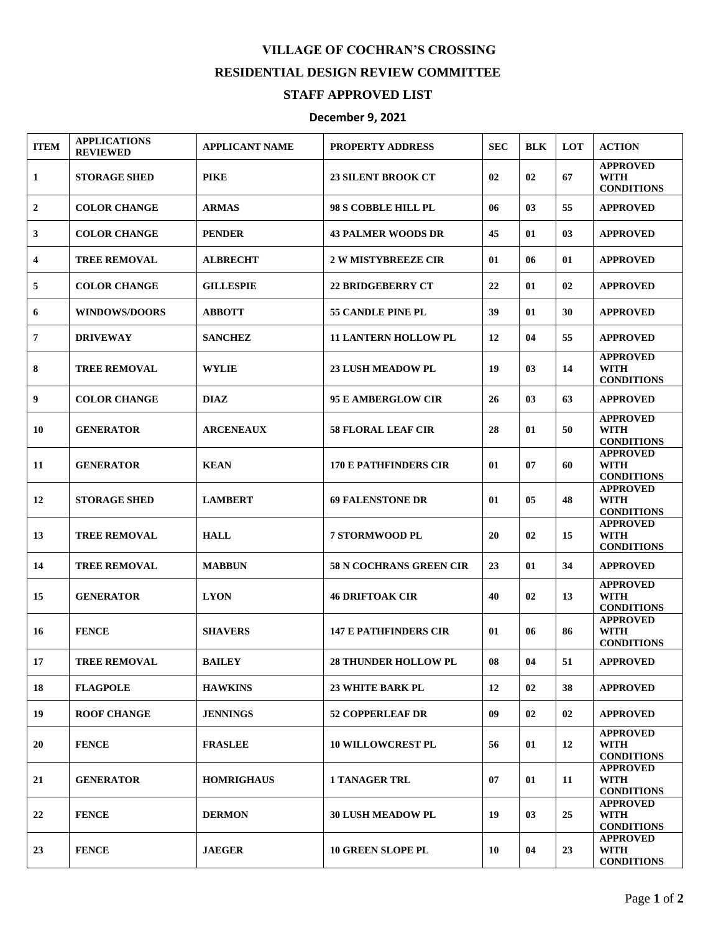## **VILLAGE OF COCHRAN'S CROSSING RESIDENTIAL DESIGN REVIEW COMMITTEE**

## **STAFF APPROVED LIST**

## **December 9, 2021**

| <b>ITEM</b>             | <b>APPLICATIONS</b><br><b>REVIEWED</b> | <b>APPLICANT NAME</b> | <b>PROPERTY ADDRESS</b>        | <b>SEC</b> | <b>BLK</b>     | LOT | <b>ACTION</b>                                       |
|-------------------------|----------------------------------------|-----------------------|--------------------------------|------------|----------------|-----|-----------------------------------------------------|
| 1                       | <b>STORAGE SHED</b>                    | <b>PIKE</b>           | <b>23 SILENT BROOK CT</b>      | 02         | 02             | 67  | <b>APPROVED</b><br><b>WITH</b><br><b>CONDITIONS</b> |
| $\boldsymbol{2}$        | <b>COLOR CHANGE</b>                    | <b>ARMAS</b>          | 98 S COBBLE HILL PL            | 06         | 03             | 55  | <b>APPROVED</b>                                     |
| 3                       | <b>COLOR CHANGE</b>                    | <b>PENDER</b>         | <b>43 PALMER WOODS DR</b>      | 45         | 01             | 03  | <b>APPROVED</b>                                     |
| $\overline{\mathbf{4}}$ | <b>TREE REMOVAL</b>                    | <b>ALBRECHT</b>       | <b>2 W MISTYBREEZE CIR</b>     | 01         | 06             | 01  | <b>APPROVED</b>                                     |
| 5                       | <b>COLOR CHANGE</b>                    | <b>GILLESPIE</b>      | <b>22 BRIDGEBERRY CT</b>       | 22         | 01             | 02  | <b>APPROVED</b>                                     |
| 6                       | <b>WINDOWS/DOORS</b>                   | <b>ABBOTT</b>         | 55 CANDLE PINE PL              | 39         | 01             | 30  | <b>APPROVED</b>                                     |
| 7                       | <b>DRIVEWAY</b>                        | <b>SANCHEZ</b>        | <b>11 LANTERN HOLLOW PL</b>    | 12         | 04             | 55  | <b>APPROVED</b>                                     |
| 8                       | <b>TREE REMOVAL</b>                    | <b>WYLIE</b>          | <b>23 LUSH MEADOW PL</b>       | 19         | 03             | 14  | <b>APPROVED</b><br><b>WITH</b><br><b>CONDITIONS</b> |
| 9                       | <b>COLOR CHANGE</b>                    | <b>DIAZ</b>           | <b>95 E AMBERGLOW CIR</b>      | 26         | 0 <sub>3</sub> | 63  | <b>APPROVED</b>                                     |
| 10                      | <b>GENERATOR</b>                       | <b>ARCENEAUX</b>      | <b>58 FLORAL LEAF CIR</b>      | 28         | 01             | 50  | <b>APPROVED</b><br><b>WITH</b><br><b>CONDITIONS</b> |
| 11                      | <b>GENERATOR</b>                       | <b>KEAN</b>           | <b>170 E PATHFINDERS CIR</b>   | 01         | 07             | 60  | <b>APPROVED</b><br><b>WITH</b><br><b>CONDITIONS</b> |
| 12                      | <b>STORAGE SHED</b>                    | <b>LAMBERT</b>        | <b>69 FALENSTONE DR</b>        | 01         | 05             | 48  | <b>APPROVED</b><br><b>WITH</b><br><b>CONDITIONS</b> |
| 13                      | <b>TREE REMOVAL</b>                    | <b>HALL</b>           | <b>7 STORMWOOD PL</b>          | 20         | 02             | 15  | <b>APPROVED</b><br><b>WITH</b><br><b>CONDITIONS</b> |
| 14                      | <b>TREE REMOVAL</b>                    | <b>MABBUN</b>         | <b>58 N COCHRANS GREEN CIR</b> | 23         | 01             | 34  | <b>APPROVED</b>                                     |
| 15                      | <b>GENERATOR</b>                       | <b>LYON</b>           | <b>46 DRIFTOAK CIR</b>         | 40         | 02             | 13  | <b>APPROVED</b><br><b>WITH</b><br><b>CONDITIONS</b> |
| 16                      | <b>FENCE</b>                           | <b>SHAVERS</b>        | <b>147 E PATHFINDERS CIR</b>   | 01         | 06             | 86  | <b>APPROVED</b><br><b>WITH</b><br><b>CONDITIONS</b> |
| 17                      | <b>TREE REMOVAL</b>                    | <b>BAILEY</b>         | <b>28 THUNDER HOLLOW PL</b>    | 08         | 04             | 51  | <b>APPROVED</b>                                     |
| 18                      | <b>FLAGPOLE</b>                        | <b>HAWKINS</b>        | <b>23 WHITE BARK PL</b>        | 12         | 02             | 38  | <b>APPROVED</b>                                     |
| 19                      | <b>ROOF CHANGE</b>                     | <b>JENNINGS</b>       | 52 COPPERLEAF DR               | 09         | 02             | 02  | <b>APPROVED</b>                                     |
| 20                      | <b>FENCE</b>                           | <b>FRASLEE</b>        | <b>10 WILLOWCREST PL</b>       | 56         | 01             | 12  | <b>APPROVED</b><br><b>WITH</b><br><b>CONDITIONS</b> |
| 21                      | <b>GENERATOR</b>                       | <b>HOMRIGHAUS</b>     | <b>1 TANAGER TRL</b>           | 07         | 01             | 11  | <b>APPROVED</b><br><b>WITH</b><br><b>CONDITIONS</b> |
| 22                      | <b>FENCE</b>                           | <b>DERMON</b>         | <b>30 LUSH MEADOW PL</b>       | 19         | 03             | 25  | <b>APPROVED</b><br>WITH<br><b>CONDITIONS</b>        |
| 23                      | <b>FENCE</b>                           | <b>JAEGER</b>         | <b>10 GREEN SLOPE PL</b>       | 10         | 04             | 23  | <b>APPROVED</b><br><b>WITH</b><br><b>CONDITIONS</b> |